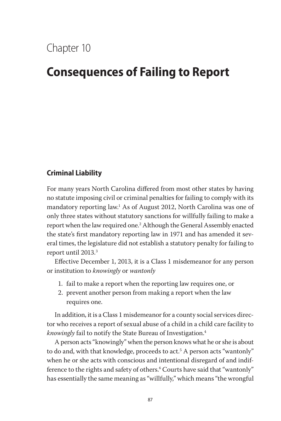# Chapter 10

# **Consequences of Failing to Report**

## **Criminal Liability**

For many years North Carolina differed from most other states by having no statute imposing civil or criminal penalties for failing to comply with its mandatory reporting law.<sup>1</sup> As of August 2012, North Carolina was one of only three states without statutory sanctions for willfully failing to make a report when the law required one.2 Although the General Assembly enacted the state's first mandatory reporting law in 1971 and has amended it several times, the legislature did not establish a statutory penalty for failing to report until 2013.<sup>3</sup>

Effective December 1, 2013, it is a Class 1 misdemeanor for any person or institution to *knowingly* or *wantonly*

- 1. fail to make a report when the reporting law requires one, or
- 2. prevent another person from making a report when the law requires one.

In addition, it is a Class 1 misdemeanor for a county social services director who receives a report of sexual abuse of a child in a child care facility to *knowingly* fail to notify the State Bureau of Investigation.4

A person acts "knowingly" when the person knows what he or she is about to do and, with that knowledge, proceeds to act.5 A person acts "wantonly" when he or she acts with conscious and intentional disregard of and indifference to the rights and safety of others.6 Courts have said that "wantonly" has essentially the same meaning as "willfully," which means "the wrongful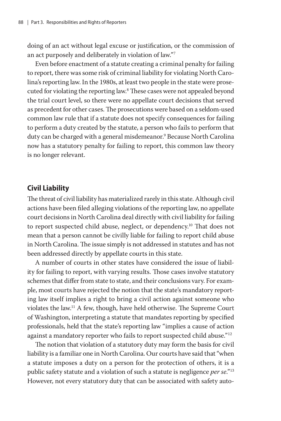doing of an act without legal excuse or justification, or the commission of an act purposely and deliberately in violation of law."7

Even before enactment of a statute creating a criminal penalty for failing to report, there was some risk of criminal liability for violating North Carolina's reporting law. In the 1980s, at least two people in the state were prosecuted for violating the reporting law.8 These cases were not appealed beyond the trial court level, so there were no appellate court decisions that served as precedent for other cases. The prosecutions were based on a seldom-used common law rule that if a statute does not specify consequences for failing to perform a duty created by the statute, a person who fails to perform that duty can be charged with a general misdemeanor.9 Because North Carolina now has a statutory penalty for failing to report, this common law theory is no longer relevant.

#### **Civil Liability**

The threat of civil liability has materialized rarely in this state. Although civil actions have been filed alleging violations of the reporting law, no appellate court decisions in North Carolina deal directly with civil liability for failing to report suspected child abuse, neglect, or dependency.<sup>10</sup> That does not mean that a person cannot be civilly liable for failing to report child abuse in North Carolina. The issue simply is not addressed in statutes and has not been addressed directly by appellate courts in this state.

A number of courts in other states have considered the issue of liability for failing to report, with varying results. Those cases involve statutory schemes that differ from state to state, and their conclusions vary. For example, most courts have rejected the notion that the state's mandatory reporting law itself implies a right to bring a civil action against someone who violates the law.11 A few, though, have held otherwise. The Supreme Court of Washington, interpreting a statute that mandates reporting by specified professionals, held that the state's reporting law "implies a cause of action against a mandatory reporter who fails to report suspected child abuse."<sup>12</sup>

The notion that violation of a statutory duty may form the basis for civil liability is a familiar one in North Carolina. Our courts have said that "when a statute imposes a duty on a person for the protection of others, it is a public safety statute and a violation of such a statute is negligence *per se*."13 However, not every statutory duty that can be associated with safety auto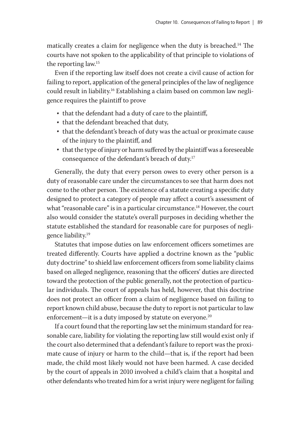matically creates a claim for negligence when the duty is breached.14 The courts have not spoken to the applicability of that principle to violations of the reporting law.15

Even if the reporting law itself does not create a civil cause of action for failing to report, application of the general principles of the law of negligence could result in liability.<sup>16</sup> Establishing a claim based on common law negligence requires the plaintiff to prove

- that the defendant had a duty of care to the plaintiff,
- that the defendant breached that duty,
- that the defendant's breach of duty was the actual or proximate cause of the injury to the plaintiff, and
- that the type of injury or harm suffered by the plaintiff was a foreseeable consequence of the defendant's breach of duty.17

Generally, the duty that every person owes to every other person is a duty of reasonable care under the circumstances to see that harm does not come to the other person. The existence of a statute creating a specific duty designed to protect a category of people may affect a court's assessment of what "reasonable care" is in a particular circumstance.<sup>18</sup> However, the court also would consider the statute's overall purposes in deciding whether the statute established the standard for reasonable care for purposes of negligence liability.19

Statutes that impose duties on law enforcement officers sometimes are treated differently. Courts have applied a doctrine known as the "public duty doctrine" to shield law enforcement officers from some liability claims based on alleged negligence, reasoning that the officers' duties are directed toward the protection of the public generally, not the protection of particular individuals. The court of appeals has held, however, that this doctrine does not protect an officer from a claim of negligence based on failing to report known child abuse, because the duty to report is not particular to law enforcement—it is a duty imposed by statute on everyone.<sup>20</sup>

If a court found that the reporting law set the minimum standard for reasonable care, liability for violating the reporting law still would exist only if the court also determined that a defendant's failure to report was the proximate cause of injury or harm to the child—that is, if the report had been made, the child most likely would not have been harmed. A case decided by the court of appeals in 2010 involved a child's claim that a hospital and other defendants who treated him for a wrist injury were negligent for failing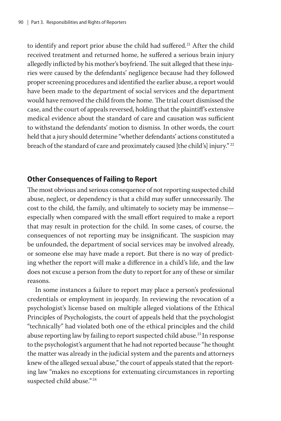to identify and report prior abuse the child had suffered.<sup>21</sup> After the child received treatment and returned home, he suffered a serious brain injury allegedly inflicted by his mother's boyfriend. The suit alleged that these injuries were caused by the defendants' negligence because had they followed proper screening procedures and identified the earlier abuse, a report would have been made to the department of social services and the department would have removed the child from the home. The trial court dismissed the case, and the court of appeals reversed, holding that the plaintiff's extensive medical evidence about the standard of care and causation was sufficient to withstand the defendants' motion to dismiss. In other words, the court held that a jury should determine "whether defendants' actions constituted a breach of the standard of care and proximately caused [the child's] injury."<sup>22</sup>

## **Other Consequences of Failing to Report**

The most obvious and serious consequence of not reporting suspected child abuse, neglect, or dependency is that a child may suffer unnecessarily. The cost to the child, the family, and ultimately to society may be immense especially when compared with the small effort required to make a report that may result in protection for the child. In some cases, of course, the consequences of not reporting may be insignificant. The suspicion may be unfounded, the department of social services may be involved already, or someone else may have made a report. But there is no way of predicting whether the report will make a difference in a child's life, and the law does not excuse a person from the duty to report for any of these or similar reasons.

In some instances a failure to report may place a person's professional credentials or employment in jeopardy. In reviewing the revocation of a psychologist's license based on multiple alleged violations of the Ethical Principles of Psychologists, the court of appeals held that the psychologist "technically" had violated both one of the ethical principles and the child abuse reporting law by failing to report suspected child abuse.<sup>23</sup> In response to the psychologist's argument that he had not reported because "he thought the matter was already in the judicial system and the parents and attorneys knew of the alleged sexual abuse," the court of appeals stated that the reporting law "makes no exceptions for extenuating circumstances in reporting suspected child abuse."<sup>24</sup>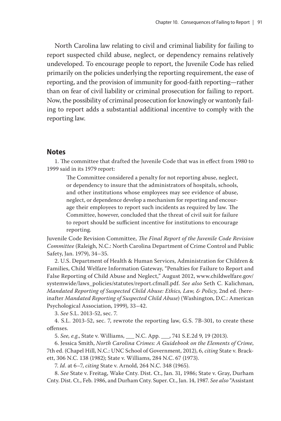North Carolina law relating to civil and criminal liability for failing to report suspected child abuse, neglect, or dependency remains relatively undeveloped. To encourage people to report, the Juvenile Code has relied primarily on the policies underlying the reporting requirement, the ease of reporting, and the provision of immunity for good-faith reporting—rather than on fear of civil liability or criminal prosecution for failing to report. Now, the possibility of criminal prosecution for knowingly or wantonly failing to report adds a substantial additional incentive to comply with the reporting law.

#### **Notes**

1. The committee that drafted the Juvenile Code that was in effect from 1980 to 1999 said in its 1979 report:

The Committee considered a penalty for not reporting abuse, neglect, or dependency to insure that the administrators of hospitals, schools, and other institutions whose employees may see evidence of abuse, neglect, or dependence develop a mechanism for reporting and encourage their employees to report such incidents as required by law. The Committee, however, concluded that the threat of civil suit for failure to report should be sufficient incentive for institutions to encourage reporting.

Juvenile Code Revision Committee, *The Final Report of the Juvenile Code Revision Committee* (Raleigh, N.C.: North Carolina Department of Crime Control and Public Safety, Jan. 1979), 34–35.

2. U.S. Department of Health & Human Services, Administration for Children & Families, Child Welfare Information Gateway, "Penalties for Failure to Report and False Reporting of Child Abuse and Neglect," August 2012, www.childwelfare.gov/ systemwide/laws\_policies/statutes/report.cfmall.pdf. *See also* Seth C. Kalichman, *Mandated Reporting of Suspected Child Abuse: Ethics, Law, & Policy*, 2nd ed. (hereinafter *Mandated Reporting of Suspected Child Abuse*) (Washington, D.C.: American Psychological Association, 1999), 33–42.

3. *See* S.L. 2013-52, sec. 7.

4. S.L. 2013-52, sec. 7, rewrote the reporting law, G.S. 7B-301, to create these offenses.

5. *See, e.g*., State v. Williams, \_\_\_ N.C. App. \_\_\_, 741 S.E.2d 9, 19 (2013).

6. Jessica Smith, *North Carolina Crimes: A Guidebook on the Elements of Crime*, 7th ed. (Chapel Hill, N.C.: UNC School of Government, 2012), 6, *citing* State v. Brackett, 306 N.C. 138 (1982); State v. Williams, 284 N.C. 67 (1973).

7. *Id*. at 6–7, *citing* State v. Arnold, 264 N.C. 348 (1965).

8. *See* State v. Freitag, Wake Cnty. Dist. Ct., Jan. 31, 1986; State v. Gray, Durham Cnty. Dist. Ct., Feb. 1986, and Durham Cnty. Super. Ct., Jan. 14, 1987. *See also* "Assistant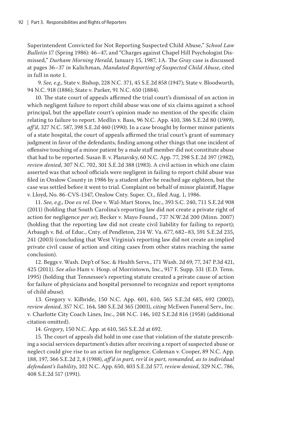Superintendent Convicted for Not Reporting Suspected Child Abuse," *School Law Bulletin* 17 (Spring 1986): 46–47, and "Charges against Chapel Hill Psychologist Dismissed," *Durham Morning Herald*, January 15, 1987, 1A. The *Gray* case is discussed at pages 36–37 *in* Kalichman, *Mandated Reporting of Suspected Child Abuse*, cited in full in note 1.

9. *See, e.g*., State v. Bishop, 228 N.C. 371, 45 S.E.2d 858 (1947); State v. Bloodworth, 94 N.C. 918 (1886); State v. Parker, 91 N.C. 650 (1884).

10. The state court of appeals affirmed the trial court's dismissal of an action in which negligent failure to report child abuse was one of six claims against a school principal, but the appellate court's opinion made no mention of the specific claim relating to failure to report. Medlin v. Bass, 96 N.C. App. 410, 386 S.E.2d 80 (1989), *aff'd*, 327 N.C. 587, 398 S.E.2d 460 (1990). In a case brought by former minor patients of a state hospital, the court of appeals affirmed the trial court's grant of summary judgment in favor of the defendants, finding among other things that one incident of offensive touching of a minor patient by a male staff member did not constitute abuse that had to be reported. Susan B. v. Planavsky, 60 N.C. App. 77, 298 S.E.2d 397 (1982), *review denied*, 307 N.C. 702, 301 S.E.2d 388 (1983). A civil action in which one claim asserted was that school officials were negligent in failing to report child abuse was filed in Onslow County in 1986 by a student after he reached age eighteen, but the case was settled before it went to trial. Complaint on behalf of minor plaintiff, Hague v. Lloyd, No. 86-CVS-1347, Onslow Cnty. Super. Ct., filed Aug. 1, 1986.

11. *See, e.g*., Doe *ex rel*. Doe v. Wal-Mart Stores, Inc., 393 S.C. 240, 711 S.E.2d 908 (2011) (holding that South Carolina's reporting law did not create a private right of action for negligence *per se*); Becker v. Mayo Found., 737 N.W.2d 200 (Minn. 2007) (holding that the reporting law did not create civil liability for failing to report); Arbaugh v. Bd. of Educ., Cnty. of Pendleton, 214 W. Va. 677, 682–83, 591 S.E.2d 235, 241 (2003) (concluding that West Virginia's reporting law did not create an implied private civil cause of action and citing cases from other states reaching the same conclusion).

12. Beggs v. Wash. Dep't of Soc. & Health Servs., 171 Wash. 2d 69, 77, 247 P.3d 421, 425 (2011). *See also* Ham v. Hosp. of Morristown, Inc., 917 F. Supp. 531 (E.D. Tenn. 1995) (holding that Tennessee's reporting statute created a private cause of action for failure of physicians and hospital personnel to recognize and report symptoms of child abuse).

13. Gregory v. Kilbride, 150 N.C. App. 601, 610, 565 S.E.2d 685, 692 (2002), *review denied*, 357 N.C. 164, 580 S.E.2d 365 (2003), *citing* McEwen Funeral Serv., Inc. v. Charlotte City Coach Lines, Inc., 248 N.C. 146, 102 S.E.2d 816 (1958) (additional citation omitted).

14. *Gregory*, 150 N.C. App. at 610, 565 S.E.2d at 692.

15. The court of appeals did hold in one case that violation of the statute prescribing a social services department's duties after receiving a report of suspected abuse or neglect could give rise to an action for negligence. Coleman v. Cooper, 89 N.C. App. 188, 197, 366 S.E.2d 2, 8 (1988), *aff'd in part, rev'd in part, remanded, as to individual defendant's liability*, 102 N.C. App. 650, 403 S.E.2d 577*, review denied*, 329 N.C. 786, 408 S.E.2d 517 (1991).